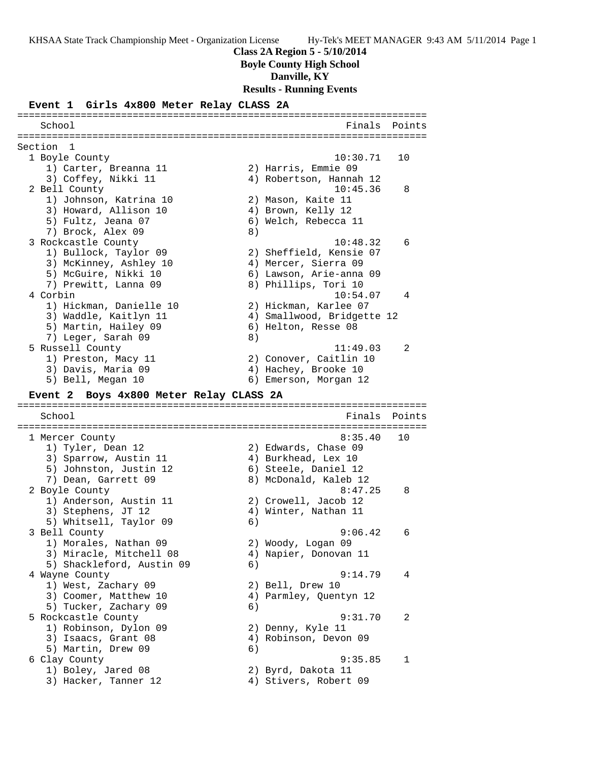**Class 2A Region 5 - 5/10/2014**

**Boyle County High School**

**Danville, KY**

**Results - Running Events**

### **Event 1 Girls 4x800 Meter Relay CLASS 2A**

======================================================================= School **Finals** Points ======================================================================= Section 1 1 Boyle County 10:30.71 10 1) Carter, Breanna 11 2) Harris, Emmie 09 3) Coffey, Nikki 11 4) Robertson, Hannah 12 2 Bell County 10:45.36 8 1) Johnson, Katrina 10 2) Mason, Kaite 11 3) Howard, Allison 10 (4) Brown, Kelly 12 5) Fultz, Jeana 07 (6) Welch, Rebecca 11 7) Brock, Alex 09 8) 3 Rockcastle County 10:48.32 6 1) Bullock, Taylor 09 2) Sheffield, Kensie 07 3) McKinney, Ashley 10 4) Mercer, Sierra 09 5) McGuire, Nikki 10 6) Lawson, Arie-anna 09 7) Prewitt, Lanna 09 8) Phillips, Tori 10 4 Corbin 10:54.07 4 1) Hickman, Danielle 10 2) Hickman, Karlee 07 3) Waddle, Kaitlyn 11 4) Smallwood, Bridgette 12 5) Martin, Hailey 09 6) Helton, Resse 08 7) Leger, Sarah 09 8) 5 Russell County 11:49.03 2 1) Preston, Macy 11 2) Conover, Caitlin 10 3) Davis, Maria 09 4) Hachey, Brooke 10 5) Bell, Megan 10 6) Emerson, Morgan 12 **Event 2 Boys 4x800 Meter Relay CLASS 2A** ======================================================================= School Finals Points ======================================================================= 1 Mercer County 8:35.40 10 1) Tyler, Dean 12 2) Edwards, Chase 09 3) Sparrow, Austin 11 (4) Burkhead, Lex 10 5) Johnston, Justin 12 6) Steele, Daniel 12 7) Dean, Garrett 09 8) McDonald, Kaleb 12 2 Boyle County 2 and 2 and 2 and 3:47.25 and 8:47.25 and 8:47.25 and 8:47.25 and 8:47.25 and 8:47.25 and 8:47 1) Anderson, Austin 11 2) Crowell, Jacob 12 3) Stephens, JT 12 (4) Winter, Nathan 11 5) Whitsell, Taylor 09 6) 3 Bell County 9:06.42 6 1) Morales, Nathan 09 2) Woody, Logan 09 3) Miracle, Mitchell 08 4) Napier, Donovan 11 5) Shackleford, Austin 09 (6) 4 Wayne County 9:14.79 4 1) West, Zachary 09 2) Bell, Drew 10 3) Coomer, Matthew 10 4) Parmley, Quentyn 12 5) Tucker, Zachary 09 (6) 5 Rockcastle County 9:31.70 2 1) Robinson, Dylon 09 2) Denny, Kyle 11 3) Isaacs, Grant 08 4) Robinson, Devon 09 5) Martin, Drew 09 (6) 6 Clay County 9:35.85 1 1) Boley, Jared 08 2) Byrd, Dakota 11 3) Hacker, Tanner 12 4) Stivers, Robert 09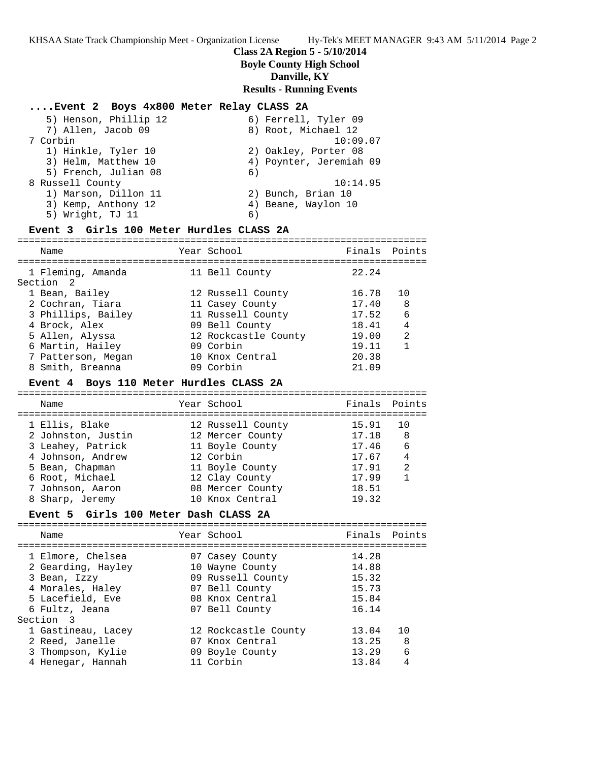# **Class 2A Region 5 - 5/10/2014**

**Boyle County High School**

# **Danville, KY**

**Results - Running Events**

# **....Event 2 Boys 4x800 Meter Relay CLASS 2A**

| 5) Henson, Phillip 12 | 6) Ferrell, Tyler 09    |
|-----------------------|-------------------------|
| 7) Allen, Jacob 09    | 8) Root, Michael 12     |
| 7 Corbin              | 10:09.07                |
| 1) Hinkle, Tyler 10   | 2) Oakley, Porter 08    |
| 3) Helm, Matthew 10   | 4) Poynter, Jeremiah 09 |
| 5) French, Julian 08  | 6)                      |
| 8 Russell County      | 10:14.95                |
| 1) Marson, Dillon 11  | 2) Bunch, Brian 10      |
| 3) Kemp, Anthony 12   | 4) Beane, Waylon 10     |
| 5) Wright, TJ 11      | 6)                      |

# **Event 3 Girls 100 Meter Hurdles CLASS 2A**

| Name                           | Year School          | Finals Points |                |
|--------------------------------|----------------------|---------------|----------------|
| 1 Fleming, Amanda<br>Section 2 | 11 Bell County       | 22.24         |                |
| 1 Bean, Bailey                 | 12 Russell County    | 16.78         | 10             |
| 2 Cochran, Tiara               | 11 Casey County      | 17.40         | 8              |
| 3 Phillips, Bailey             | 11 Russell County    | 17.52         | 6              |
| 4 Brock, Alex                  | 09 Bell County       | 18.41         | 4              |
| 5 Allen, Alyssa                | 12 Rockcastle County | 19.00         | $\mathfrak{D}$ |
| 6 Martin, Hailey               | 09 Corbin            | 19.11         |                |
| 7 Patterson, Megan             | 10 Knox Central      | 20.38         |                |
| 8 Smith, Breanna               | 09 Corbin            | 21.09         |                |

### **Event 4 Boys 110 Meter Hurdles CLASS 2A**

| Name               | Year School       | Finals Points |                |
|--------------------|-------------------|---------------|----------------|
| 1 Ellis, Blake     | 12 Russell County | 15.91         | 1 N            |
| 2 Johnston, Justin | 12 Mercer County  | 17.18         | 8              |
| 3 Leahey, Patrick  | 11 Boyle County   | 17.46         | -6             |
| 4 Johnson, Andrew  | 12 Corbin         | 17.67         | 4              |
| 5 Bean, Chapman    | 11 Boyle County   | 17.91         | $\mathfrak{D}$ |
| 6 Root, Michael    | 12 Clay County    | 17.99         |                |
| 7 Johnson, Aaron   | 08 Mercer County  | 18.51         |                |
| 8 Sharp, Jeremy    | 10 Knox Central   | 19.32         |                |
|                    |                   |               |                |

# **Event 5 Girls 100 Meter Dash CLASS 2A**

| Name                                                                                                                           | Year School                                                                                                    | Finals                                             | Points             |
|--------------------------------------------------------------------------------------------------------------------------------|----------------------------------------------------------------------------------------------------------------|----------------------------------------------------|--------------------|
| 1 Elmore, Chelsea<br>2 Gearding, Hayley<br>3 Bean, Izzy<br>4 Morales, Haley<br>5 Lacefield, Eve<br>6 Fultz, Jeana<br>Section 3 | 07 Casey County<br>10 Wayne County<br>09 Russell County<br>07 Bell County<br>08 Knox Central<br>07 Bell County | 14.28<br>14.88<br>15.32<br>15.73<br>15.84<br>16.14 |                    |
| 1 Gastineau, Lacey<br>2 Reed, Janelle<br>3 Thompson, Kylie<br>4 Henegar, Hannah                                                | 12 Rockcastle County<br>07 Knox Central<br>09 Boyle County<br>11 Corbin                                        | 13.04<br>13.25<br>13.29<br>13.84                   | 1 O<br>8<br>6<br>4 |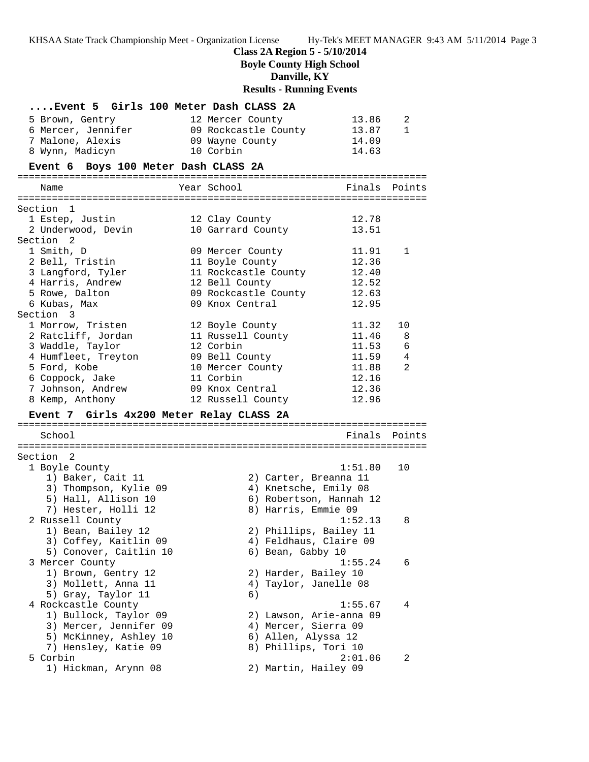**Class 2A Region 5 - 5/10/2014**

**Boyle County High School**

**Danville, KY**

**Results - Running Events**

| Event 5 Girls 100 Meter Dash CLASS 2A            |                                                           |        |
|--------------------------------------------------|-----------------------------------------------------------|--------|
| 5 Brown, Gentry                                  | 12 Mercer County<br>13.86                                 | 2      |
| 6 Mercer, Jennifer                               | 09 Rockcastle County<br>13.87                             | 1      |
| 7 Malone, Alexis                                 | 14.09<br>09 Wayne County                                  |        |
| 8 Wynn, Madicyn                                  | 10 Corbin<br>14.63                                        |        |
| Event 6 Boys 100 Meter Dash CLASS 2A             |                                                           |        |
|                                                  | Finals                                                    | Points |
| Name                                             | Year School                                               |        |
| Section 1                                        |                                                           |        |
| 1 Estep, Justin                                  | 12.78<br>12 Clay County                                   |        |
| 2 Underwood, Devin                               | 13.51<br>10 Garrard County                                |        |
| Section 2                                        |                                                           |        |
| 1 Smith, D                                       | 09 Mercer County<br>11.91                                 | 1      |
| 2 Bell, Tristin                                  | 11 Boyle County<br>12.36                                  |        |
| 3 Langford, Tyler                                | 11 Rockcastle County<br>12.40                             |        |
| 4 Harris, Andrew                                 | 12.52<br>12 Bell County                                   |        |
| 5 Rowe, Dalton<br>6 Kubas, Max                   | 09 Rockcastle County<br>12.63<br>09 Knox Central<br>12.95 |        |
| Section 3                                        |                                                           |        |
| 1 Morrow, Tristen                                | 12 Boyle County<br>11.32                                  | 10     |
| 2 Ratcliff, Jordan                               | 11 Russell County<br>11.46                                | 8      |
| 3 Waddle, Taylor                                 | 12 Corbin<br>11.53                                        | 6      |
| 4 Humfleet, Treyton                              | 09 Bell County<br>11.59                                   | 4      |
| 5 Ford, Kobe                                     | 11.88<br>10 Mercer County                                 | 2      |
| 6 Coppock, Jake                                  | 11 Corbin<br>12.16                                        |        |
| 7 Johnson, Andrew                                | 12.36<br>09 Knox Central                                  |        |
| 8 Kemp, Anthony                                  | 12.96<br>12 Russell County                                |        |
| Event 7 Girls 4x200 Meter Relay CLASS 2A         |                                                           |        |
| School                                           | Finals                                                    | Points |
|                                                  |                                                           |        |
| Section <sub>2</sub>                             |                                                           |        |
| 1 Boyle County                                   | 1:51.80                                                   | 10     |
| 1) Baker, Cait 11                                | 2) Carter, Breanna 11                                     |        |
| 3) Thompson, Kylie 09                            | 4) Knetsche, Emily 08                                     |        |
| 5) Hall, Allison 10<br>7) Hester, Holli 12       | 6) Robertson, Hannah 12<br>8) Harris, Emmie 09            |        |
| 2 Russell County                                 | 1:52.13                                                   | 8      |
| 1) Bean, Bailey 12                               | 2) Phillips, Bailey 11                                    |        |
| 3) Coffey, Kaitlin 09                            | 4) Feldhaus, Claire 09                                    |        |
| 5) Conover, Caitlin 10                           | 6) Bean, Gabby 10                                         |        |
| 3 Mercer County                                  | 1:55.24                                                   | 6      |
| 1) Brown, Gentry 12                              | 2) Harder, Bailey 10                                      |        |
| 3) Mollett, Anna 11                              | 4) Taylor, Janelle 08                                     |        |
| 5) Gray, Taylor 11                               | 6)                                                        |        |
| 4 Rockcastle County                              | 1:55.67                                                   | 4      |
| 1) Bullock, Taylor 09                            | 2) Lawson, Arie-anna 09                                   |        |
| 3) Mercer, Jennifer 09<br>5) McKinney, Ashley 10 | 4) Mercer, Sierra 09                                      |        |
| 7) Hensley, Katie 09                             | 6) Allen, Alyssa 12<br>8) Phillips, Tori 10               |        |
| 5 Corbin                                         | 2:01.06                                                   | 2      |
|                                                  |                                                           |        |
| 1) Hickman, Arynn 08                             | 2) Martin, Hailey 09                                      |        |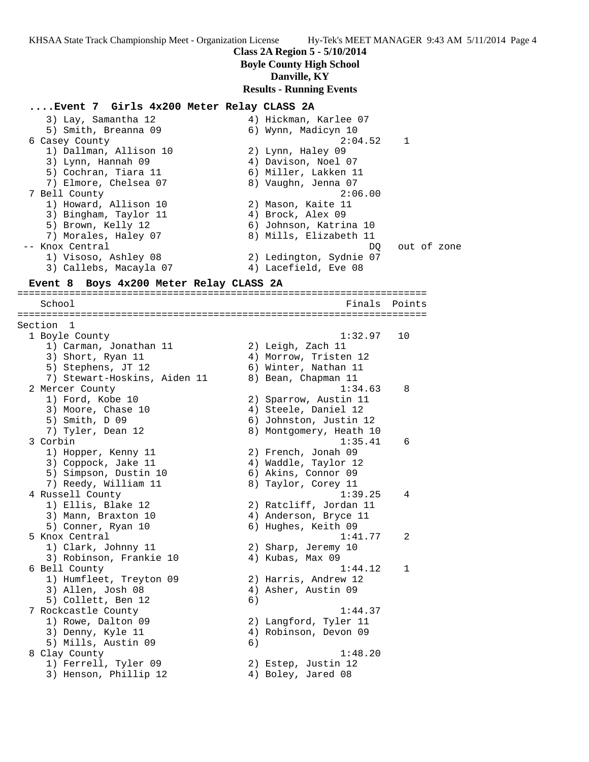**Class 2A Region 5 - 5/10/2014**

### **Boyle County High School**

### **Danville, KY**

### **Results - Running Events**

### **....Event 7 Girls 4x200 Meter Relay CLASS 2A**

 3) Lay, Samantha 12 4) Hickman, Karlee 07 5) Smith, Breanna 09 6) Wynn, Madicyn 10 6 Casey County 2:04.52 1 1) Dallman, Allison 10 2) Lynn, Haley 09 3) Lynn, Hannah 09 4) Davison, Noel 07 5) Cochran, Tiara 11 (6) Miller, Lakken 11 7) Elmore, Chelsea 07 8) Vaughn, Jenna 07 7 Bell County 2:06.00 1) Howard, Allison 10 2) Mason, Kaite 11 3) Bingham, Taylor 11  $\qquad \qquad$  4) Brock, Alex 09 5) Brown, Kelly 12 6) Johnson, Katrina 10 7) Morales, Haley 07 8) Mills, Elizabeth 11 -- Knox Central de Communication of the DQ out of zone 1) Visoso, Ashley 08 2) Ledington, Sydnie 07 3) Callebs, Macayla 07 (4) Lacefield, Eve 08 **Event 8 Boys 4x200 Meter Relay CLASS 2A** ======================================================================= School **Finals** Points Points Points Points Points Points Points Points Points Points Points Points Points Points Points Points Points Points Points Points Points Points Points Points Points Points Points Points Points Poi ======================================================================= Section 1 1 Boyle County 1:32.97 10 1) Carman, Jonathan 11 and 2) Leigh, Zach 11 3) Short, Ryan 11 4) Morrow, Tristen 12 5) Stephens, JT 12 6) Winter, Nathan 11 7) Stewart-Hoskins, Aiden 11  $\qquad \qquad$  8) Bean, Chapman 11 2 Mercer County 1:34.63 8 1) Ford, Kobe 10 2) Sparrow, Austin 11 3) Moore, Chase 10 (4) Steele, Daniel 12 5) Smith, D 09 6) Johnston, Justin 12 7) Tyler, Dean 12 8) Montgomery, Heath 10 3 Corbin 1:35.41 6 1) Hopper, Kenny 11 2) French, Jonah 09 3) Coppock, Jake 11 (4) Waddle, Taylor 12 5) Simpson, Dustin 10 (6) Akins, Connor 09 7) Reedy, William 11 8) Taylor, Corey 11 4 Russell County 1:39.25 4 1) Ellis, Blake 12 2) Ratcliff, Jordan 11 3) Mann, Braxton 10 4) Anderson, Bryce 11 5) Conner, Ryan 10 6) Hughes, Keith 09 5 Knox Central 1:41.77 2 1) Clark, Johnny 11 2) Sharp, Jeremy 10 3) Robinson, Frankie 10  $\qquad \qquad$  4) Kubas, Max 09 6 Bell County 1:44.12 1 1) Humfleet, Treyton 09 2) Harris, Andrew 12 3) Allen, Josh 08 4) Asher, Austin 09 5) Collett, Ben 12 (6) 7 Rockcastle County 1:44.37 1) Rowe, Dalton 09 2) Langford, Tyler 11 3) Denny, Kyle 11 4) Robinson, Devon 09 5) Mills, Austin 09 (6) 8 Clay County 1:48.20 1) Ferrell, Tyler 09 2) Estep, Justin 12 3) Henson, Phillip 12 (4) Boley, Jared 08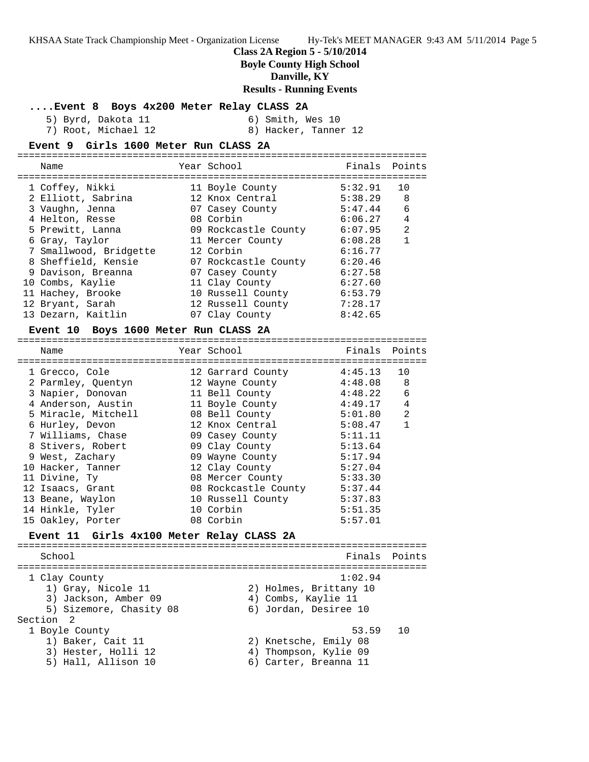**Class 2A Region 5 - 5/10/2014**

**Boyle County High School**

**Danville, KY**

**Results - Running Events**

#### **....Event 8 Boys 4x200 Meter Relay CLASS 2A**

5) Byrd, Dakota 11 6) Smith, Wes 10 7) Root, Michael 12 8) Hacker, Tanner 12

#### **Event 9 Girls 1600 Meter Run CLASS 2A**

======================================================================= Name The Year School The Finals Points ======================================================================= 1 Coffey, Nikki 11 Boyle County 5:32.91 10 2 Elliott, Sabrina 12 Knox Central 5:38.29 8 3 Vaughn, Jenna 07 Casey County 5:47.44 6 4 Helton, Resse 08 Corbin 6:06.27 4 5 Prewitt, Lanna 09 Rockcastle County 6:07.95 2 6 Gray, Taylor 11 Mercer County 6:08.28 1 7 Smallwood, Bridgette 12 Corbin 6:16.77 8 Sheffield, Kensie 07 Rockcastle County 6:20.46 9 Davison, Breanna 07 Casey County 6:27.58 10 Combs, Kaylie 11 Clay County 6:27.60 11 Hachey, Brooke 10 Russell County 6:53.79 12 Bryant, Sarah 12 Russell County 7:28.17 13 Dezarn, Kaitlin 07 Clay County 8:42.65

#### **Event 10 Boys 1600 Meter Run CLASS 2A**

======================================================================= Name Year School Finals Points ======================================================================= 1 Grecco, Cole 12 Garrard County 4:45.13 10 2 Parmley, Quentyn 12 Wayne County 4:48.08 8 3 Napier, Donovan 11 Bell County 4:48.22 6 4 Anderson, Austin 11 Boyle County 4:49.17 4 5 Miracle, Mitchell 08 Bell County 5:01.80 2 6 Hurley, Devon 12 Knox Central 5:08.47 1 7 Williams, Chase  $109$  Casey County 5:11.11 8 Stivers, Robert 09 Clay County 5:13.64 9 West, Zachary 09 Wayne County 5:17.94 10 Hacker, Tanner 12 Clay County 5:27.04 11 Divine, Ty **08 Mercer County** 5:33.30 12 Isaacs, Grant 08 Rockcastle County 5:37.44 13 Beane, Waylon 10 Russell County 5:37.83 14 Hinkle, Tyler 10 Corbin 5:51.35 15 Oakley, Porter 08 Corbin 5:57.01

### **Event 11 Girls 4x100 Meter Relay CLASS 2A**

======================================================================= School **Finals Points** ======================================================================= 1 Clay County 1:02.94 1) Gray, Nicole 11 2) Holmes, Brittany 10 3) Jackson, Amber 09 4) Combs, Kaylie 11 5) Sizemore, Chasity 08 6) Jordan, Desiree 10 Section 2<br>1 Boyle County 1 Boyle County 53.59 10 1) Baker, Cait 11 2) Knetsche, Emily 08 3) Hester, Holli 12 4) Thompson, Kylie 09 5) Hall, Allison 10 6) Carter, Breanna 11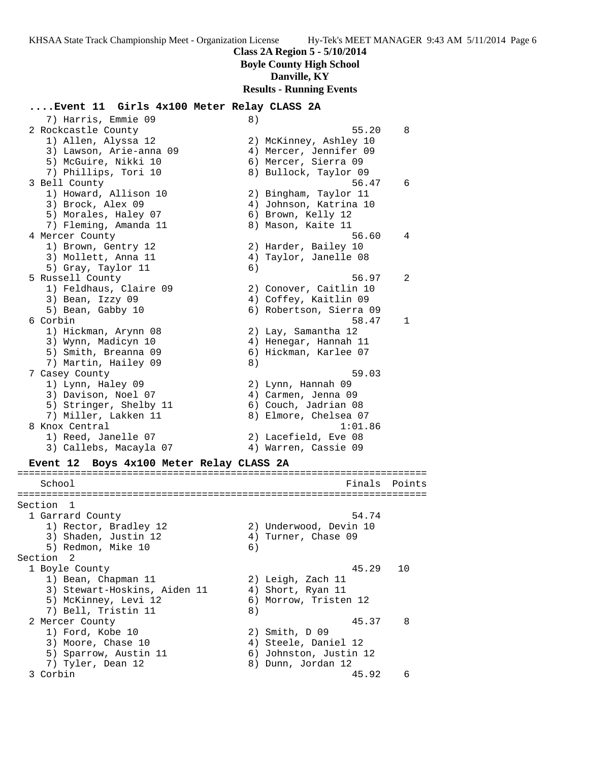**Class 2A Region 5 - 5/10/2014**

**Boyle County High School**

### **Danville, KY**

**Results - Running Events**

#### **....Event 11 Girls 4x100 Meter Relay CLASS 2A**

7) Harris, Emmie 09 (8) 2 Rockcastle County 55.20 8 1) Allen, Alyssa 12 2) McKinney, Ashley 10 3) Lawson, Arie-anna 09 4) Mercer, Jennifer 09 5) McGuire, Nikki 10 (6) Mercer, Sierra 09 7) Phillips, Tori 10 8) Bullock, Taylor 09 3 Bell County 56.47 6 1) Howard, Allison 10 2) Bingham, Taylor 11 3) Brock, Alex 09 4) Johnson, Katrina 10 5) Morales, Haley 07 (6) Brown, Kelly 12 7) Fleming, Amanda 11 and 8) Mason, Kaite 11 4 Mercer County 56.60 4 1) Brown, Gentry 12 2) Harder, Bailey 10 3) Mollett, Anna 11 4) Taylor, Janelle 08 5) Gray, Taylor 11 6) 5 Russell County 56.97 2 1) Feldhaus, Claire 09 2) Conover, Caitlin 10 3) Bean, Izzy 09 4) Coffey, Kaitlin 09 5) Bean, Gabby 10 6) Robertson, Sierra 09 6 Corbin 58.47 1 1) Hickman, Arynn 08 2) Lay, Samantha 12 3) Wynn, Madicyn 10 4) Henegar, Hannah 11 5) Smith, Breanna 09 6) Hickman, Karlee 07 7) Martin, Hailey 09 8) 7 Casey County 59.03 1) Lynn, Haley 09 2) Lynn, Hannah 09 3) Davison, Noel 07 (4) Carmen, Jenna 09 5) Stringer, Shelby 11 6) Couch, Jadrian 08 7) Miller, Lakken 11 8) Elmore, Chelsea 07 8 Knox Central 1:01.86 1) Reed, Janelle 07 2) Lacefield, Eve 08 3) Callebs, Macayla 07 4) Warren, Cassie 09 **Event 12 Boys 4x100 Meter Relay CLASS 2A** ======================================================================= School **Finals** Points ======================================================================= Section 1 1 Garrard County 54.74 1) Rector, Bradley 12 2) Underwood, Devin 10 3) Shaden, Justin 12 (4) Turner, Chase 09 5) Redmon, Mike 10 (6) Section 2<br>1 Boyle County 1 Boyle County 45.29 10 1) Bean, Chapman 11 2) Leigh, Zach 11 3) Stewart-Hoskins, Aiden 11  $\hskip10mm$  4) Short, Ryan 11 5) McKinney, Levi 12 6) Morrow, Tristen 12 7) Bell, Tristin 11 (8)<br>
2 Mercer County 2 Mercer County 45.37 8 1) Ford, Kobe 10 2) Smith, D 09 3) Moore, Chase 10  $\hskip 1.6cm 4$  Steele, Daniel 12 5) Sparrow, Austin 11 6) Johnston, Justin 12 7) Tyler, Dean 12 8) Dunn, Jordan 12 3 Corbin 45.92 6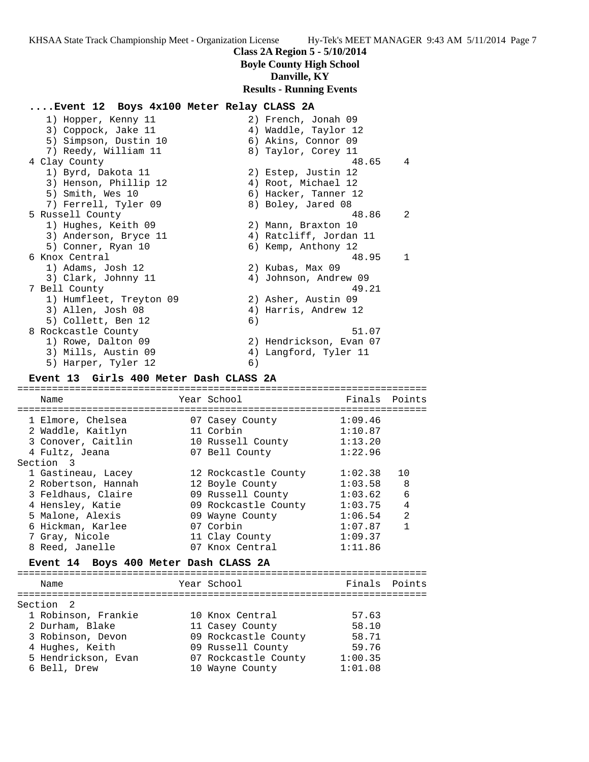**Class 2A Region 5 - 5/10/2014**

# **Boyle County High School**

# **Danville, KY**

# **Results - Running Events**

# **....Event 12 Boys 4x100 Meter Relay CLASS 2A**

| 1) Hopper, Kenny 11     |    | 2) French, Jonah 09     |               |
|-------------------------|----|-------------------------|---------------|
| 3) Coppock, Jake 11     |    | 4) Waddle, Taylor 12    |               |
| 5) Simpson, Dustin 10   |    | 6) Akins, Connor 09     |               |
| 7) Reedy, William 11    |    | 8) Taylor, Corey 11     |               |
| 4 Clay County           |    | 48.65                   | 4             |
| 1) Byrd, Dakota 11      |    | 2) Estep, Justin 12     |               |
| 3) Henson, Phillip 12   |    | 4) Root, Michael 12     |               |
| 5) Smith, Wes 10        |    | 6) Hacker, Tanner 12    |               |
| 7) Ferrell, Tyler 09    |    | 8) Boley, Jared 08      |               |
| 5 Russell County        |    | 48.86                   | $\mathcal{L}$ |
| 1) Hughes, Keith 09     |    | 2) Mann, Braxton 10     |               |
| 3) Anderson, Bryce 11   |    | 4) Ratcliff, Jordan 11  |               |
| 5) Conner, Ryan 10      |    | 6) Kemp, Anthony 12     |               |
| 6 Knox Central          |    | 48.95                   | $\mathbf{1}$  |
| 1) Adams, Josh 12       |    | 2) Kubas, Max 09        |               |
| 3) Clark, Johnny 11     |    | 4) Johnson, Andrew 09   |               |
| 7 Bell County           |    | 49.21                   |               |
| 1) Humfleet, Treyton 09 |    | 2) Asher, Austin 09     |               |
| 3) Allen, Josh 08       |    | 4) Harris, Andrew 12    |               |
| 5) Collett, Ben 12      | 6) |                         |               |
| 8 Rockcastle County     |    | 51.07                   |               |
| 1) Rowe, Dalton 09      |    | 2) Hendrickson, Evan 07 |               |
| 3) Mills, Austin 09     |    | 4) Langford, Tyler 11   |               |
| 5) Harper, Tyler 12     | 6) |                         |               |

### **Event 13 Girls 400 Meter Dash CLASS 2A**

| Name                | Year School          | Finals Points |                |
|---------------------|----------------------|---------------|----------------|
|                     |                      |               |                |
| 1 Elmore, Chelsea   | 07 Casey County      | 1:09.46       |                |
| 2 Waddle, Kaitlyn   | 11 Corbin            | 1:10.87       |                |
| 3 Conover, Caitlin  | 10 Russell County    | 1:13.20       |                |
| 4 Fultz, Jeana      | 07 Bell County       | 1:22.96       |                |
| Section 3           |                      |               |                |
| 1 Gastineau, Lacey  | 12 Rockcastle County | 1:02.38       | 1 O            |
| 2 Robertson, Hannah | 12 Boyle County      | 1:03.58       | 8              |
| 3 Feldhaus, Claire  | 09 Russell County    | 1:03.62       | $\epsilon$     |
| 4 Hensley, Katie    | 09 Rockcastle County | 1:03.75       |                |
| 5 Malone, Alexis    | 09 Wayne County      | 1:06.54       | $\mathfrak{D}$ |
| 6 Hickman, Karlee   | 07 Corbin            | 1:07.87       | 1              |
| 7 Gray, Nicole      | 11 Clay County       | 1:09.37       |                |
| 8 Reed, Janelle     | 07 Knox Central      | 1:11.86       |                |

# **Event 14 Boys 400 Meter Dash CLASS 2A**

| Name                | Year School          | Finals Points |  |
|---------------------|----------------------|---------------|--|
| Section 2           |                      |               |  |
| 1 Robinson, Frankie | 10 Knox Central      | 57.63         |  |
| 2 Durham, Blake     | 11 Casey County      | 58.10         |  |
| 3 Robinson, Devon   | 09 Rockcastle County | 58.71         |  |
| 4 Hughes, Keith     | 09 Russell County    | 59.76         |  |
| 5 Hendrickson, Evan | 07 Rockcastle County | 1:00.35       |  |
| 6 Bell, Drew        | 10 Wayne County      | 1:01.08       |  |
|                     |                      |               |  |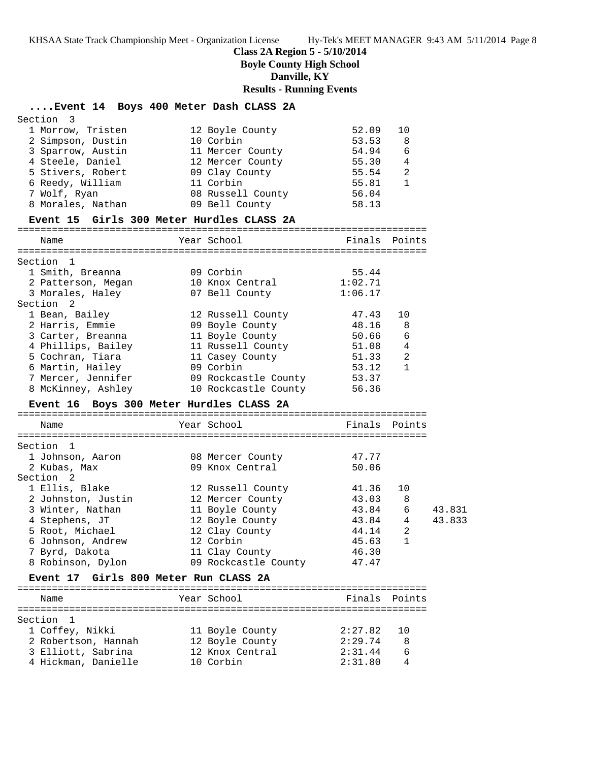**Class 2A Region 5 - 5/10/2014**

**Boyle County High School**

**Danville, KY**

**Results - Running Events**

|                                           | Event 14 Boys 400 Meter Dash CLASS 2A                                                                   |                              |        |
|-------------------------------------------|---------------------------------------------------------------------------------------------------------|------------------------------|--------|
| Section 3                                 |                                                                                                         |                              |        |
| 1 Morrow, Tristen                         | 12 Boyle County                                                                                         | 52.09<br>10                  |        |
| 2 Simpson, Dustin                         | 10 Corbin                                                                                               | 53.53<br>8                   |        |
| 3 Sparrow, Austin                         | 11 Mercer County                                                                                        | 54.94<br>6                   |        |
| 4 Steele, Daniel                          | 12 Mercer County                                                                                        | 55.30 4                      |        |
| 5 Stivers, Robert                         | 09 Clay County                                                                                          | $\overline{2}$<br>55.54      |        |
| 6 Reedy, William                          | 11 Corbin                                                                                               | $\mathbf{1}$<br>55.81        |        |
| 7 Wolf, Ryan                              | 08 Russell County                                                                                       | 56.04                        |        |
| 8 Morales, Nathan                         | 09 Bell County                                                                                          | 58.13                        |        |
| Event 15 Girls 300 Meter Hurdles CLASS 2A |                                                                                                         |                              |        |
| Name                                      | Year School                                                                                             | Finals Points                |        |
|                                           |                                                                                                         |                              |        |
| Section 1<br>1 Smith, Breanna             | 09 Corbin                                                                                               | 55.44                        |        |
| 2 Patterson, Megan                        | 10 Knox Central 1:02.71                                                                                 |                              |        |
| 3 Morales, Haley                          | 07 Bell County                                                                                          | 1:06.17                      |        |
| Section <sub>2</sub>                      |                                                                                                         |                              |        |
| 1 Bean, Bailey                            | 12 Russell County                                                                                       | 47.43<br>10                  |        |
|                                           | 2 Harris, Emmie 199 Boyle County                                                                        | 48.16<br>8                   |        |
|                                           | 3 Carter, Breanna 11 Boyle County                                                                       | 50.66<br>6                   |        |
|                                           | 4 Phillips, Bailey 11 Russell County 51.08 4                                                            |                              |        |
| 5 Cochran, Tiara                          |                                                                                                         | 51.33 2                      |        |
|                                           | 11 Casey County<br>09 Corbin                                                                            | $\mathbf{1}$<br>53.12        |        |
|                                           | 6 Martin, Hailey                       09 Corbin<br>7 Mercer, Jennifer             09 Rockcastle County | 53.37                        |        |
| 8 McKinney, Ashley                        | 10 Rockcastle County                                                                                    | 56.36                        |        |
| Event 16 Boys 300 Meter Hurdles CLASS 2A  |                                                                                                         |                              |        |
|                                           |                                                                                                         |                              |        |
| Name                                      | Year School                                                                                             | Finals Points                |        |
| Section 1                                 |                                                                                                         |                              |        |
| 1 Johnson, Aaron                          | 08 Mercer County                                                                                        | 47.77                        |        |
| 2 Kubas, Max                              | 09 Knox Central                                                                                         | 50.06                        |        |
| Section 2                                 |                                                                                                         |                              |        |
| 1 Ellis, Blake                            |                                                                                                         | 41.36<br>10                  |        |
| 2 Johnston, Justin                        | 12 Russell County<br>12 Mercer County<br>11 Boyle County                                                | 43.03 8                      |        |
|                                           |                                                                                                         |                              |        |
|                                           |                                                                                                         |                              | 43.831 |
| 3 Winter, Nathan                          |                                                                                                         | 43.84 6<br>43.84<br>4        |        |
| 4 Stephens, JT                            | 12 Boyle County                                                                                         | 2                            | 43.833 |
| 5 Root, Michael<br>6 Johnson, Andrew      | 12 Clay County<br>12 Corbin                                                                             | 44.14<br>45.63<br>1          |        |
| 7 Byrd, Dakota                            | 11 Clay County                                                                                          | 46.30                        |        |
| 8 Robinson, Dylon                         | 09 Rockcastle County                                                                                    | 47.47                        |        |
| Event 17 Girls 800 Meter Run CLASS 2A     |                                                                                                         |                              |        |
| Name                                      | Year School                                                                                             | Finals Points                |        |
|                                           |                                                                                                         |                              |        |
| Section 1                                 |                                                                                                         |                              |        |
| 1 Coffey, Nikki                           | 11 Boyle County                                                                                         | 2:27.82<br>10                |        |
| 2 Robertson, Hannah                       | 12 Boyle County                                                                                         | 2:29.74<br>8                 |        |
| 3 Elliott, Sabrina<br>4 Hickman, Danielle | 12 Knox Central<br>10 Corbin                                                                            | 2:31.44<br>6<br>4<br>2:31.80 |        |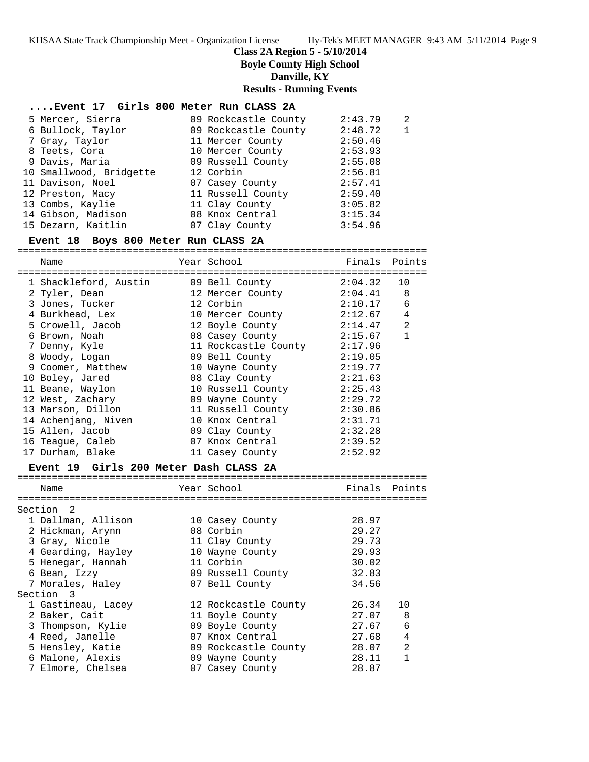### **Class 2A Region 5 - 5/10/2014**

**Boyle County High School**

**Danville, KY**

#### **Results - Running Events**

### **....Event 17 Girls 800 Meter Run CLASS 2A**

| 5 Mercer, Sierra        | 09 Rockcastle County | 2:43.79 | 2 |
|-------------------------|----------------------|---------|---|
| 6 Bullock, Taylor       | 09 Rockcastle County | 2:48.72 |   |
| 7 Gray, Taylor          | 11 Mercer County     | 2:50.46 |   |
| 8 Teets, Cora           | 10 Mercer County     | 2:53.93 |   |
| 9 Davis, Maria          | 09 Russell County    | 2:55.08 |   |
| 10 Smallwood, Bridgette | 12 Corbin            | 2:56.81 |   |
| 11 Davison, Noel        | 07 Casey County      | 2:57.41 |   |
| 12 Preston, Macy        | 11 Russell County    | 2:59.40 |   |
| 13 Combs, Kaylie        | 11 Clay County       | 3:05.82 |   |
| 14 Gibson, Madison      | 08 Knox Central      | 3:15.34 |   |
| 15 Dezarn, Kaitlin      | 07 Clay County       | 3:54.96 |   |

### **Event 18 Boys 800 Meter Run CLASS 2A**

======================================================================= Name Year School Finals Points ======================================================================= 1 Shackleford, Austin 09 Bell County 2:04.32 10 2 Tyler, Dean 12 Mercer County 2:04.41 8 3 Jones, Tucker 12 Corbin 2:10.17 6 4 Burkhead, Lex 10 Mercer County 2:12.67 4 5 Crowell, Jacob 12 Boyle County 2:14.47 2 6 Brown, Noah 08 Casey County 2:15.67 1 7 Denny, Kyle 11 Rockcastle County 2:17.96 8 Woody, Logan 09 Bell County 2:19.05 9 Coomer, Matthew 10 Wayne County 2:19.77 10 Boley, Jared 08 Clay County 2:21.63 11 Beane, Waylon 10 Russell County 2:25.43 12 West, Zachary 09 Wayne County 2:29.72 13 Marson, Dillon 11 Russell County 2:30.86 14 Achenjang, Niven 10 Knox Central 2:31.71 15 Allen, Jacob 09 Clay County 2:32.28 16 Teague, Caleb 07 Knox Central 2:39.52 17 Durham, Blake 11 Casey County 2:52.92

#### **Event 19 Girls 200 Meter Dash CLASS 2A**

| Name               | Year School          | Finals | Points         |
|--------------------|----------------------|--------|----------------|
|                    |                      |        |                |
| Section<br>- 2     |                      |        |                |
| 1 Dallman, Allison | 10 Casey County      | 28.97  |                |
| 2 Hickman, Arynn   | 08 Corbin            | 29.27  |                |
| 3 Gray, Nicole     | 11 Clay County       | 29.73  |                |
| 4 Gearding, Hayley | 10 Wayne County      | 29.93  |                |
| 5 Henegar, Hannah  | 11 Corbin            | 30.02  |                |
| 6 Bean, Izzy       | 09 Russell County    | 32.83  |                |
| 7 Morales, Haley   | 07 Bell County       | 34.56  |                |
| Section 3          |                      |        |                |
| 1 Gastineau, Lacey | 12 Rockcastle County | 26.34  | 10             |
| 2 Baker, Cait      | 11 Boyle County      | 27.07  | 8              |
| 3 Thompson, Kylie  | 09 Boyle County      | 27.67  | 6              |
| 4 Reed, Janelle    | 07 Knox Central      | 27.68  | 4              |
| 5 Hensley, Katie   | 09 Rockcastle County | 28.07  | $\mathfrak{D}$ |
| 6 Malone, Alexis   | 09 Wayne County      | 28.11  | 1              |
| 7 Elmore, Chelsea  | 07 Casey County      | 28.87  |                |
|                    |                      |        |                |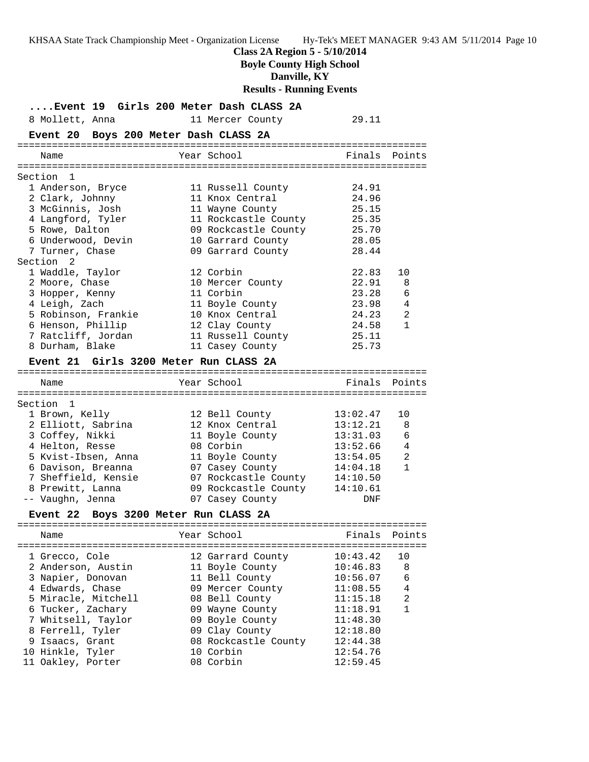**Class 2A Region 5 - 5/10/2014**

**Boyle County High School**

**Danville, KY**

**Results - Running Events**

| 8 Mollett, Anna<br>Event 20 Boys 200 Meter Dash CLASS 2A | Event 19 Girls 200 Meter Dash CLASS 2A<br>11 Mercer County | 29.11    |                |
|----------------------------------------------------------|------------------------------------------------------------|----------|----------------|
| Name                                                     | Year School                                                |          | Finals Points  |
|                                                          |                                                            |          |                |
| Section 1                                                |                                                            |          |                |
| 1 Anderson, Bryce                                        | 11 Russell County                                          | 24.91    |                |
| 2 Clark, Johnny                                          | 11 Knox Central                                            | 24.96    |                |
| 3 McGinnis, Josh                                         | 11 Wayne County                                            | 25.15    |                |
| 4 Langford, Tyler                                        | 11 Rockcastle County 25.35                                 |          |                |
| 5 Rowe, Dalton                                           | 09 Rockcastle County 25.70                                 |          |                |
| 6 Underwood, Devin                                       | 10 Garrard County                                          | 28.05    |                |
| 7 Turner, Chase                                          | 09 Garrard County                                          | 28.44    |                |
| Section 2                                                |                                                            |          |                |
| 1 Waddle, Taylor                                         | 12 Corbin                                                  | 22.83    | 10             |
| 2 Moore, Chase                                           | 10 Mercer County                                           | 22.91    | 8              |
| 3 Hopper, Kenny                                          | 11 Corbin                                                  | 23.28    | 6              |
| 4 Leigh, Zach                                            | 11 Boyle County                                            | 23.98    | $\overline{4}$ |
| 5 Robinson, Frankie                                      | 10 Knox Central                                            | 24.23    | 2              |
| 6 Henson, Phillip                                        | 12 Clay County                                             | 24.58    | $\mathbf{1}$   |
| 7 Ratcliff, Jordan                                       | 11 Russell County                                          | 25.11    |                |
| 8 Durham, Blake                                          | 11 Casey County                                            | 25.73    |                |
| Event 21 Girls 3200 Meter Run CLASS 2A                   |                                                            |          |                |
|                                                          |                                                            |          |                |
| Name                                                     | Year School                                                |          | Finals Points  |
|                                                          |                                                            |          |                |
| Section 1                                                |                                                            |          |                |
| 1 Brown, Kelly                                           | 12 Bell County                                             | 13:02.47 | 10             |
| 2 Elliott, Sabrina                                       | 12 Knox Central                                            | 13:12.21 | 8              |
| 3 Coffey, Nikki                                          | 11 Boyle County                                            | 13:31.03 | 6              |
| 4 Helton, Resse                                          | 08 Corbin                                                  | 13:52.66 | $\overline{4}$ |
| 5 Kvist-Ibsen, Anna                                      | 11 Boyle County                                            | 13:54.05 | 2              |
| 6 Davison, Breanna                                       | 07 Casey County                                            | 14:04.18 | $\mathbf{1}$   |
|                                                          | 7 Sheffield, Kensie 67 Rockcastle County                   | 14:10.50 |                |
| 8 Prewitt, Lanna                                         | 09 Rockcastle County                                       | 14:10.61 |                |
| -- Vaughn, Jenna                                         | 07 Casey County                                            | DNF      |                |
| Event 22 Boys 3200 Meter Run CLASS 2A                    |                                                            |          |                |
| Name                                                     | Year School                                                | Finals   | Points         |
|                                                          |                                                            |          |                |
| 1 Grecco, Cole                                           | 12 Garrard County                                          | 10:43.42 | 10             |
| 2 Anderson, Austin                                       | 11 Boyle County                                            | 10:46.83 | 8              |
| 3 Napier, Donovan                                        | 11 Bell County                                             | 10:56.07 | 6              |
| 4 Edwards, Chase                                         | 09 Mercer County                                           | 11:08.55 | 4              |
| 5 Miracle, Mitchell                                      | 08 Bell County                                             | 11:15.18 | 2              |
| 6 Tucker, Zachary                                        | 09 Wayne County                                            | 11:18.91 | $\mathbf{1}$   |
| 7 Whitsell, Taylor                                       | 09 Boyle County                                            | 11:48.30 |                |
| 8 Ferrell, Tyler                                         | 09 Clay County                                             | 12:18.80 |                |
| 9 Isaacs, Grant                                          | 08 Rockcastle County                                       | 12:44.38 |                |
| 10 Hinkle, Tyler                                         | 10 Corbin                                                  | 12:54.76 |                |
| 11 Oakley, Porter                                        | 08 Corbin                                                  | 12:59.45 |                |
|                                                          |                                                            |          |                |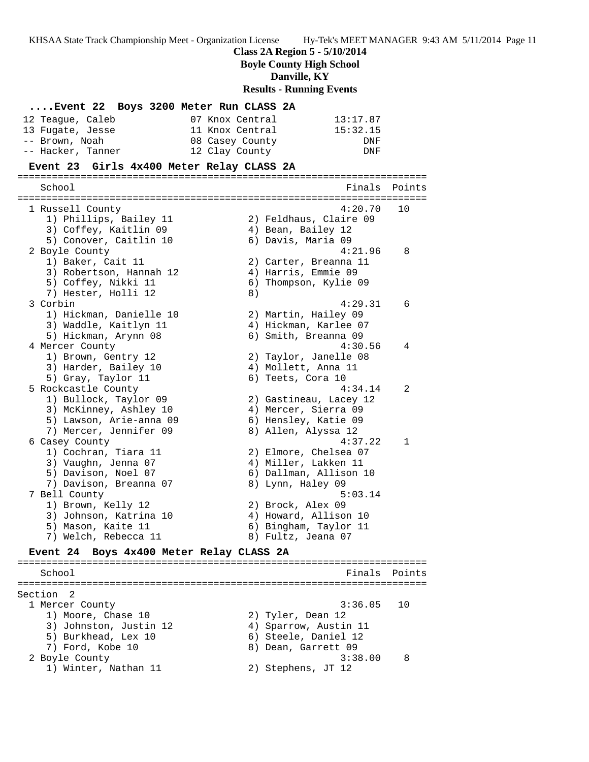**Class 2A Region 5 - 5/10/2014**

**Boyle County High School**

**Danville, KY**

**Results - Running Events**

|                   | Event 22 Boys 3200 Meter Run CLASS 2A |          |
|-------------------|---------------------------------------|----------|
| 12 Teaque, Caleb  | 07 Knox Central                       | 13:17.87 |
| 13 Fugate, Jesse  | 11 Knox Central                       | 15:32.15 |
| -- Brown, Noah    | 08 Casey County                       | DNF.     |
| -- Hacker, Tanner | 12 Clay County                        | DNF.     |

#### **Event 23 Girls 4x400 Meter Relay CLASS 2A**

======================================================================= School **Finals Points** ======================================================================= 1 Russell County 4:20.70 10 1) Phillips, Bailey 11 2) Feldhaus, Claire 09 3) Coffey, Kaitlin 09  $\hskip1cm 4$ ) Bean, Bailey 12 5) Conover, Caitlin 10 (6) Davis, Maria 09 2 Boyle County 4:21.96 8 1) Baker, Cait 11 2) Carter, Breanna 11 3) Robertson, Hannah 12 4) Harris, Emmie 09 5) Coffey, Nikki 11 6) Thompson, Kylie 09 7) Hester, Holli 12 (8) 3 Corbin 4:29.31 6 1) Hickman, Danielle 10 2) Martin, Hailey 09 3) Waddle, Kaitlyn 11 4) Hickman, Karlee 07 5) Hickman, Arynn 08 6) Smith, Breanna 09 4 Mercer County 4:30.56 4 1) Brown, Gentry 12 2) Taylor, Janelle 08 3) Harder, Bailey 10 (4) Mollett, Anna 11 5) Gray, Taylor 11 6) Teets, Cora 10 5 Rockcastle County 4:34.14 2 1) Bullock, Taylor 09 2) Gastineau, Lacey 12 3) McKinney, Ashley 10  $\hskip 1.6cm 4$ ) Mercer, Sierra 09 5) Lawson, Arie-anna 09 6) Hensley, Katie 09 7) Mercer, Jennifer 09 8) Allen, Alyssa 12 6 Casey County 4:37.22 1 1) Cochran, Tiara 11 2) Elmore, Chelsea 07 3) Vaughn, Jenna 07 4) Miller, Lakken 11 5) Davison, Noel 07 6) Dallman, Allison 10 7) Davison, Breanna 07 8) Lynn, Haley 09 7 Bell County 5:03.14 1) Brown, Kelly 12 2) Brock, Alex 09 3) Johnson, Katrina 10 4) Howard, Allison 10 5) Mason, Kaite 11 6) Bingham, Taylor 11 7) Welch, Rebecca 11 and 8) Fultz, Jeana 07 **Event 24 Boys 4x400 Meter Relay CLASS 2A** ======================================================================= School **Finals** Points **Points** ======================================================================= Section 2 1 Mercer County 3:36.05 10 1) Moore, Chase 10 2) Tyler, Dean 12 3) Johnston, Justin 12 4) Sparrow, Austin 11 5) Burkhead, Lex 10 (6) Steele, Daniel 12 7) Ford, Kobe 10 8) Dean, Garrett 09 2 Boyle County 3:38.00 8 1) Winter, Nathan 11 2) Stephens, JT 12